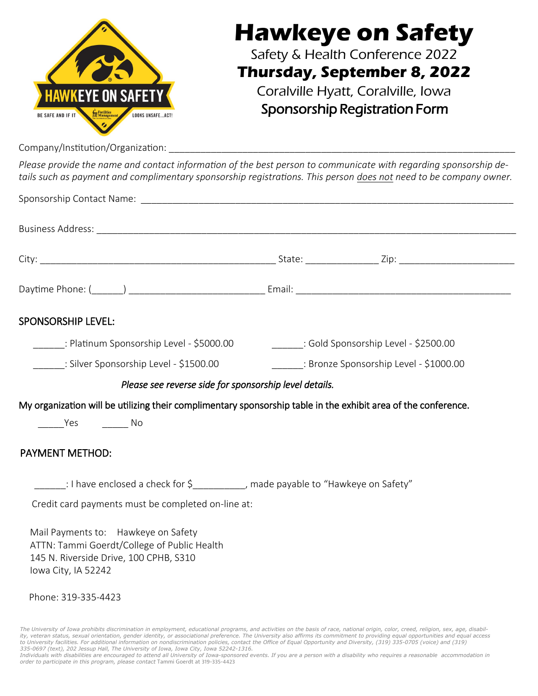

## **Hawkeye on Safety**  Safety & Health Conference 2022 **Thursday, September 8, 2022** Coralville Hyatt, Coralville, Iowa Sponsorship Registration Form

Company/Institution/Organization:

*Please provide the name and contact information of the best person to communicate with regarding sponsorship details such as payment and complimentary sponsorship registrations. This person does not need to be company owner.* 

| <b>SPONSORSHIP LEVEL:</b>                                                                                                                           |                                        |
|-----------------------------------------------------------------------------------------------------------------------------------------------------|----------------------------------------|
| ______: Platinum Sponsorship Level - \$5000.00 [10] [10] : Gold Sponsorship Level - \$2500.00                                                       |                                        |
| : Silver Sponsorship Level - \$1500.00                                                                                                              | : Bronze Sponsorship Level - \$1000.00 |
| Please see reverse side for sponsorship level details.                                                                                              |                                        |
| My organization will be utilizing their complimentary sponsorship table in the exhibit area of the conference.                                      |                                        |
| <b>Press</b><br><u>No</u>                                                                                                                           |                                        |
| PAYMENT METHOD:                                                                                                                                     |                                        |
| [arring] thave enclosed a check for \$_____________, made payable to "Hawkeye on Safety"                                                            |                                        |
| Credit card payments must be completed on-line at:                                                                                                  |                                        |
| Mail Payments to: Hawkeye on Safety<br>ATTN: Tammi Goerdt/College of Public Health<br>145 N. Riverside Drive, 100 CPHB, S310<br>lowa City, IA 52242 |                                        |

Phone: 319-335-4423

*The University of Iowa prohibits discrimination in employment, educational programs, and activities on the basis of race, national origin, color, creed, religion, sex, age, disability, veteran status, sexual orientation, gender identity, or associational preference. The University also affirms its commitment to providing equal opportunities and equal access to University facilities. For additional information on nondiscrimination policies, contact the Office of Equal Opportunity and Diversity, (319) 335-0705 (voice) and (319) 335-0697 (text), 202 Jessup Hall, The University of Iowa, Iowa City, Iowa 52242-1316.*

*Individuals with disabilities are encouraged to attend all University of Iowa-sponsored events. If you are a person with a disability who requires a reasonable accommodation in order to participate in this program, please contact* Tammi Goerdt at 319-335-4423